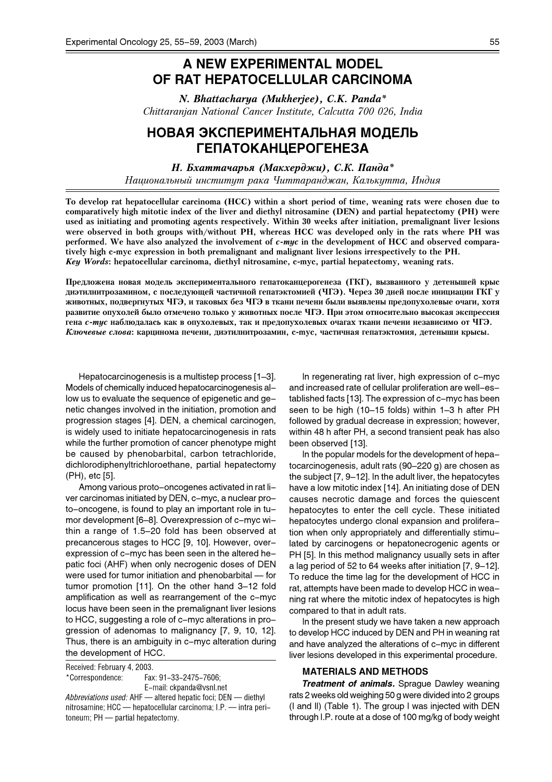# A NEW EXPERIMENTAL MODEL OF RAT HEPATOCELLULAR CARCINOMA

N. Bhattacharya (Mukherjee), C.K. Panda\* Chittaranjan National Cancer Institute, Calcutta 700 026, India

## НОВАЯ ЭКСПЕРИМЕНТАЛЬНАЯ МОДЕЛЬ TENATOKAHLEPOTEHE3A

 $H.$  Бхаттачарья (Макхерджи), С.К. Панда\*

Национальный институт рака Читтаранджан, Калькутта, Индия

To develop rat hepatocellular carcinoma (HCC) within a short period of time, weaning rats were chosen due to comparatively high mitotic index of the liver and diethyl nitrosamine (DEN) and partial hepatectomy (PH) were used as initiating and promoting agents respectively. Within 30 weeks after initiation, premalignant liver lesions were observed in both groups with/without PH, whereas HCC was developed only in the rats where PH was performed. We have also analyzed the involvement of c-myc in the development of HCC and observed comparatively high c-myc expression in both premalignant and malignant liver lesions irrespectively to the PH. Key Words: hepatocellular carcinoma, diethyl nitrosamine, c-myc, partial hepatectomy, weaning rats.

Предложена новая модель экспериментального гепатоканцерогенеза (ГКГ), вызванного у детеньшей крыс диэтилнитрозамином, с последующей частичной гепатэктомией (ЧГЭ). Через 30 дней после инициации ГКГ v животных, подвергнутых ЧГЭ, и таковых без ЧГЭ в ткани печени были выявлены предопухолевые очаги, хотя развитие опухолей было отмечено только у животных после ЧГЭ. При этом относительно высокая экспрессия гена с-тус наблюдалась как в опухолевых, так и предопухолевых очагах ткани печени независимо от ЧГЭ. Ключевые слова: карцинома печени, диэтилнитрозамин, с-тус, частичная гепатэктомия, детеныши крысы.

Hepatocarcinogenesis is a multistep process [1–3]. Models of chemically induced hepatocarcinogenesis allow us to evaluate the sequence of epigenetic and genetic changes involved in the initiation, promotion and progression stages [4]. DEN, a chemical carcinogen, is widely used to initiate hepatocarcinogenesis in rats while the further promotion of cancer phenotype might be caused by phenobarbital, carbon tetrachloride, dichlorodiphenyltrichloroethane, partial hepatectomy (PH), etc [5].

Among various proto-oncogenes activated in rat liver carcinomas initiated by DEN, c-myc, a nuclear proto-oncogene, is found to play an important role in tumor development [6–8]. Overexpression of c-myc within a range of 1.5–20 fold has been observed at precancerous stages to HCC [9, 10]. However, overexpression of c-myc has been seen in the altered hepatic foci (AHF) when only necrogenic doses of DEN were used for tumor initiation and phenobarbital — for tumor promotion [11]. On the other hand 3–12 fold amplification as well as rearrangement of the c-myc locus have been seen in the premalignant liver lesions to HCC, suggesting a role of c-myc alterations in progression of adenomas to malignancy [7, 9, 10, 12]. Thus, there is an ambiguity in c-myc alteration during the development of HCC.

Received: February 4, 2003. \*Correspondence: Fax: 91-33-2475-7606; E-mail: ckpanda@vsnl.net Abbreviations used: AHF — altered hepatic foci; DEN — diethyl nitrosamine; HCC — hepatocellular carcinoma; I.P. — intra peritoneum; PH — partial hepatectomy.

In regenerating rat liver, high expression of c-myc and increased rate of cellular proliferation are well-established facts [13]. The expression of c-myc has been seen to be high (10–15 folds) within 1–3 h after PH followed by gradual decrease in expression; however, within 48 h after PH, a second transient peak has also been observed [13].

In the popular models for the development of hepatocarcinogenesis, adult rats (90–220 g) are chosen as the subject [7, 9–12]. In the adult liver, the hepatocytes have a low mitotic index [14]. An initiating dose of DEN causes necrotic damage and forces the quiescent hepatocytes to enter the cell cycle. These initiated hepatocytes undergo clonal expansion and proliferation when only appropriately and differentially stimulated by carcinogens or hepatonecrogenic agents or PH [5]. In this method malignancy usually sets in after a lag period of 52 to 64 weeks after initiation [7, 9–12]. To reduce the time lag for the development of HCC in rat, attempts have been made to develop HCC in weaning rat where the mitotic index of hepatocytes is high compared to that in adult rats.

In the present study we have taken a new approach to develop HCC induced by DEN and PH in weaning rat and have analyzed the alterations of c-myc in different liver lesions developed in this experimental procedure.

### MATERIALS AND METHODS

**Treatment of animals.** Sprague Dawley weaning rats 2 weeks old weighing 50 g were divided into 2 groups (I and II) (Table 1). The group I was injected with DEN through I.P. route at a dose of 100 mg/kg of body weight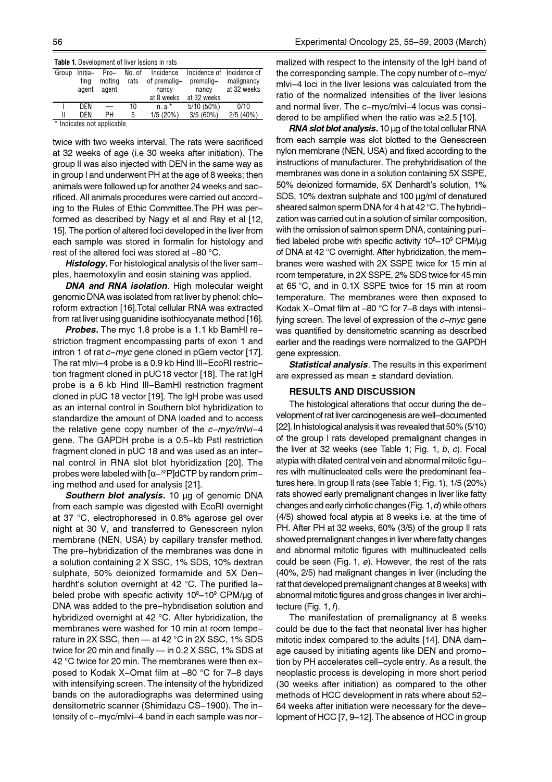| <b>Table 1.</b> Development of liver lesions in rats |                 |                  |                |                           |                           |                            |  |  |
|------------------------------------------------------|-----------------|------------------|----------------|---------------------------|---------------------------|----------------------------|--|--|
| Group                                                | Initia-<br>tina | $Pro-$<br>moting | No. of<br>rats | Incidence<br>of premalig- | Incidence of<br>premalig- | Incidence of<br>malignancy |  |  |
|                                                      |                 |                  |                |                           |                           |                            |  |  |
|                                                      | agent           | agent            |                | nancy                     | nancy                     | at 32 weeks                |  |  |
|                                                      |                 |                  |                | at 8 weeks                | at 32 weeks               |                            |  |  |
|                                                      | <b>DFN</b>      |                  | 10             | $n.a.*$                   | $5/10(50\%)$              | 0/10                       |  |  |
|                                                      | DEN             | PН               | 5              | 1/5(20%)                  | 3/5(60%)                  | 2/5(40%)                   |  |  |
| * Indicates not applicable.                          |                 |                  |                |                           |                           |                            |  |  |

twice with two weeks interval. The rats were sacrificed at 32 weeks of age (i.e 30 weeks after initiation). The group II was also injected with DEN in the same way as in group I and underwent PH at the age of 8 weeks; then animals were followed up for another 24 weeks and sacrificed. All animals procedures were carried out according to the Rules of Ethic Committee.The PH was performed as described by Nagy et al and Ray et al [12, 15]. The portion of altered foci developed in the liver from each sample was stored in formalin for histology and rest of the altered foci was stored at –80 °C.

Histology. For histological analysis of the liver samples, haemotoxylin and eosin staining was applied.

**DNA and RNA isolation.** High molecular weight genomic DNA was isolated from rat liver by phenol: chloroform extraction [16].Total cellular RNA was extracted from rat liver using guanidine isothiocyanate method [16].

**Probes.** The myc 1.8 probe is a 1.1 kb BamHI restriction fragment encompassing parts of exon 1 and intron 1 of rat  $c-myc$  gene cloned in pGem vector [17]. The rat mlvi-4 probe is a 0.9 kb Hind III-EcoRI restriction fragment cloned in pUC18 vector [18]. The rat IgH probe is a 6 kb Hind III-BamHI restriction fragment cloned in pUC 18 vector [19]. The IgH probe was used as an internal control in Southern blot hybridization to standardize the amount of DNA loaded and to access the relative gene copy number of the  $c$ -myc/mlvi-4 gene. The GAPDH probe is a 0.5-kb PstI restriction fragment cloned in pUC 18 and was used as an internal control in RNA slot blot hybridization [20]. The probes were labeled with  $\left[\alpha-\right]^{32}P$ ]dCTP by random priming method and used for analysis [21].

Southern blot analysis. 10 µg of genomic DNA from each sample was digested with EcoRI overnight at 37 °C, electrophoresed in 0.8% agarose gel over night at 30 V, and transferred to Genescreen nylon membrane (NEN, USA) by capillary transfer method. The pre-hybridization of the membranes was done in a solution containing 2 X SSC, 1% SDS, 10% dextran sulphate, 50% deionized formamide and 5X Denhardht's solution overnight at 42 °C. The purified labeled probe with specific activity 10<sup>8</sup>–10<sup>9</sup> CPM/µg of DNA was added to the pre-hybridisation solution and hybridized overnight at 42 °C. After hybridization, the membranes were washed for 10 min at room temperature in 2X SSC, then — at 42 °C in 2X SSC, 1% SDS twice for 20 min and finally — in 0.2 X SSC, 1% SDS at 42 °C twice for 20 min. The membranes were then exposed to Kodak X-Omat film at –80 °C for 7–8 days with intensifying screen. The intensity of the hybridized bands on the autoradiographs was determined using densitometric scanner (Shimidazu CS-1900). The intensity of c-myc/mlvi-4 band in each sample was normalized with respect to the intensity of the IgH band of the corresponding sample. The copy number of c-myc/ mlvi-4 loci in the liver lesions was calculated from the ratio of the normalized intensities of the liver lesions and normal liver. The c-myc/mlvi-4 locus was considered to be amplified when the ratio was  $\geq 2.5$  [10].

RNA slot blot analysis. 10  $\mu$ g of the total cellular RNA from each sample was slot blotted to the Genescreen nylon membrane (NEN, USA) and fixed according to the instructions of manufacturer. The prehybridisation of the membranes was done in a solution containing 5X SSPE, 50% deionized formamide, 5X Denhardt's solution, 1% SDS, 10% dextran sulphate and 100 µg/ml of denatured sheared salmon sperm DNA for 4 h at 42 °C. The hybridization was carried out in a solution of similar composition, with the omission of salmon sperm DNA, containing purified labeled probe with specific activity 10<sup>s</sup>–10<sup>s</sup> CPM/µg of DNA at 42 °C overnight. After hybridization, the membranes were washed with 2X SSPE twice for 15 min at room temperature, in 2X SSPE, 2% SDS twice for 45 min at 65 °C, and in 0.1X SSPE twice for 15 min at room temperature. The membranes were then exposed to Kodak X-Omat film at –80 °C for 7–8 days with intensifying screen. The level of expression of the  $c$ -myc gene was quantified by densitometric scanning as described earlier and the readings were normalized to the GAPDH gene expression.

**Statistical analysis.** The results in this experiment are expressed as mean  $\pm$  standard deviation.

## RESULTS AND DISCUSSION

The histological alterations that occur during the development of rat liver carcinogenesis are well-documented [22]. In histological analysis it was revealed that 50% (5/10) of the group I rats developed premalignant changes in the liver at 32 weeks (see Table 1; Fig. 1,  $b, c$ ). Focal atypia with dilated central vein and abnormal mitotic figures with multinucleated cells were the predominant features here. In group II rats (see Table 1; Fig. 1), 1/5 (20%) rats showed early premalignant changes in liver like fatty changes and early cirrhotic changes (Fig. 1, d) while others (4/5) showed focal atypia at 8 weeks i.e. at the time of PH. After PH at 32 weeks, 60% (3/5) of the group II rats showed premalignant changes in liver where fatty changes and abnormal mitotic figures with multinucleated cells could be seen (Fig. 1,  $e$ ). However, the rest of the rats (40%, 2/5) had malignant changes in liver (including the rat that developed premalignant changes at 8 weeks) with abnormal mitotic figures and gross changes in liver architecture  $(Fig. 1, f)$ .

The manifestation of premalignancy at 8 weeks could be due to the fact that neonatal liver has higher mitotic index compared to the adults [14]. DNA damage caused by initiating agents like DEN and promotion by PH accelerates cell-cycle entry. As a result, the neoplastic process is developing in more short period (30 weeks after initiation) as compared to the other methods of HCC development in rats where about 52– 64 weeks after initiation were necessary for the development of HCC [7, 9–12]. The absence of HCC in group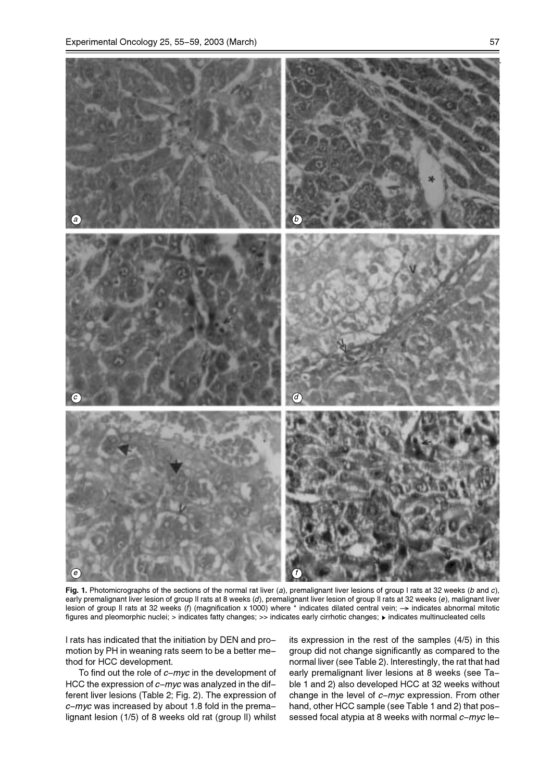

Fig. 1. Photomicrographs of the sections of the normal rat liver (a), premalignant liver lesions of group I rats at 32 weeks (b and c), early premalignant liver lesion of group II rats at 8 weeks (d), premalignant liver lesion of group II rats at 32 weeks (e), malignant liver lesion of group II rats at 32 weeks (f) (magnification x 1000) where \* indicates dilated central vein;  $\rightarrow$  indicates abnormal mitotic figures and pleomorphic nuclei; > indicates fatty changes; >> indicates early cirrhotic changes;  $\triangleright$  indicates multinucleated cells

I rats has indicated that the initiation by DEN and promotion by PH in weaning rats seem to be a better method for HCC development.

To find out the role of  $c$ -myc in the development of HCC the expression of  $c$ -myc was analyzed in the different liver lesions (Table 2; Fig. 2). The expression of  $c$ -myc was increased by about 1.8 fold in the premalignant lesion (1/5) of 8 weeks old rat (group II) whilst its expression in the rest of the samples (4/5) in this group did not change significantly as compared to the normal liver (see Table 2). Interestingly, the rat that had early premalignant liver lesions at 8 weeks (see Table 1 and 2) also developed HCC at 32 weeks without change in the level of  $c$ -myc expression. From other hand, other HCC sample (see Table 1 and 2) that possessed focal atypia at 8 weeks with normal  $c$ -myc le-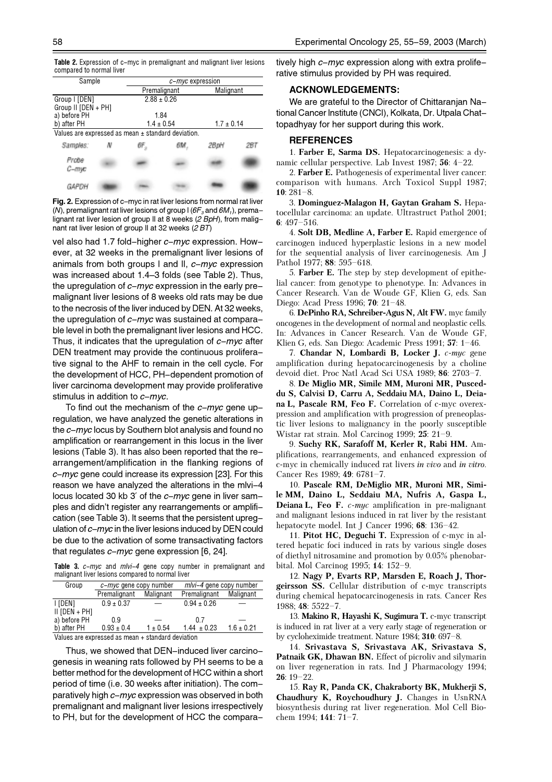|                          |  | <b>Table 2.</b> Expression of c-myc in premalignant and malignant liver lesions |  |  |
|--------------------------|--|---------------------------------------------------------------------------------|--|--|
| compared to normal liver |  |                                                                                 |  |  |

| Sample                                                 |  | c-myc expression |  |                |           |  |  |
|--------------------------------------------------------|--|------------------|--|----------------|-----------|--|--|
|                                                        |  | Premalignant     |  |                | Malignant |  |  |
| Group   [DEN]                                          |  | $2.88 \pm 0.26$  |  |                |           |  |  |
| Group II [DEN + PH]                                    |  |                  |  |                |           |  |  |
| a) before PH                                           |  | 1.84             |  |                |           |  |  |
| b) after PH                                            |  | $1.4 \pm 0.54$   |  | $1.7 \pm 0.14$ |           |  |  |
| Values are expressed as mean $\pm$ standard deviation. |  |                  |  |                |           |  |  |
| Samples:                                               |  |                  |  | 28 pH          | 261       |  |  |
| Probe<br>С-тю                                          |  |                  |  |                |           |  |  |
| GAPDH                                                  |  |                  |  |                |           |  |  |

Fig. 2. Expression of c-myc in rat liver lesions from normal rat liver (N), premalignant rat liver lesions of group I ( $6F_3$  and  $6M_1$ ), premalignant rat liver lesion of group II at 8 weeks (2 BpH), from malignant rat liver lesion of group II at 32 weeks (2 BT)

vel also had 1.7 fold-higher c-myc expression. However, at 32 weeks in the premalignant liver lesions of animals from both groups I and II,  $c$ -myc expression was increased about 1.4–3 folds (see Table 2). Thus, the upregulation of  $c$ -myc expression in the early premalignant liver lesions of 8 weeks old rats may be due to the necrosis of the liver induced by DEN. At 32 weeks, the upregulation of  $c$ -myc was sustained at comparable level in both the premalignant liver lesions and HCC. Thus, it indicates that the upregulation of  $c-m\nu c$  after DEN treatment may provide the continuous proliferative signal to the AHF to remain in the cell cycle. For the development of HCC, PH-dependent promotion of liver carcinoma development may provide proliferative stimulus in addition to  $c-m\gamma c$ .

To find out the mechanism of the  $c$ -myc gene upregulation, we have analyzed the genetic alterations in the  $c$ -myc locus by Southern blot analysis and found no amplification or rearrangement in this locus in the liver lesions (Table 3). It has also been reported that the rearrangement/amplification in the flanking regions of  $c-myc$  gene could increase its expression [23]. For this reason we have analyzed the alterations in the mlvi-4 locus located 30 kb 3' of the c-myc gene in liver samples and didn't register any rearrangements or amplification (see Table 3). It seems that the persistent upregulation of  $c-mvc$  in the liver lesions induced by DEN could be due to the activation of some transactivating factors that regulates  $c$ -myc gene expression [6, 24].

Table 3. c-mvc and mlvi-4 gene copy number in premalignant and malignant liver lesions compared to normal liver

| Group                                             | $c$ - <i>myc</i> gene copy number |              | $m/v - 4$ gene copy number |                |  |  |
|---------------------------------------------------|-----------------------------------|--------------|----------------------------|----------------|--|--|
|                                                   | Premalignant                      | Malignant    | Premalignant               | Malignant      |  |  |
| I [DEN]                                           | $0.9 \pm 0.37$                    |              | $0.94 \pm 0.26$            |                |  |  |
| $II$ [DEN + PH]                                   |                                   |              |                            |                |  |  |
| a) before PH                                      | 0 9                               |              | 07                         |                |  |  |
| b) after PH                                       | $0.93 \pm 0.4$                    | $1 \pm 0.54$ | $1.44 \pm 0.23$            | $1.6 \pm 0.21$ |  |  |
| Values are expressed as mean + standard deviation |                                   |              |                            |                |  |  |

Thus, we showed that DEN-induced liver carcinogenesis in weaning rats followed by PH seems to be a better method for the development of HCC within a short period of time (i.e. 30 weeks after initiation). The comparatively high c-myc expression was observed in both premalignant and malignant liver lesions irrespectively to PH, but for the development of HCC the comparatively high  $c-myc$  expression along with extra proliferative stimulus provided by PH was required.

### ACKNOWLEDGEMENTS:

We are grateful to the Director of Chittaranjan National Cancer Institute (CNCI), Kolkata, Dr. Utpala Chattopadhyay for her support during this work.

#### **REFERENCES**

1. Farber E, Sarma DS. Hepatocarcinogenesis: a dynamic cellular perspective. Lab Invest 1987; 56: 4–22.

2. Farber E. Pathogenesis of experimental liver cancer: comparison with humans. Arch Toxicol Suppl 1987; 10: 281–8.

3. Dominguez-Malagon H, Gaytan Graham S. Hepatocellular carcinoma: an update. Ultrastruct Pathol 2001; 6: 497–516.

4. Solt DB, Medline A, Farber E. Rapid emergence of carcinogen induced hyperplastic lesions in a new model for the sequential analysis of liver carcinogenesis. Am J Pathol 1977; 88: 595–618.

5. Farber E. The step by step development of epithelial cancer: from genotype to phenotype. In: Advances in Cancer Research. Van de Woude GF, Klien G, eds. San Diego: Acad Press 1996; 70: 21–48.

6. DePinho RA, Schreiber-Agus N, Alt FW. myc family oncogenes in the development of normal and neoplastic cells. In: Advances in Cancer Research. Van de Woude GF, Klien G, eds. San Diego: Academic Press 1991; 57: 1–46.

7. Chandar N, Lombardi B, Locker J. c-myc gene amplification during hepatocarcinogenesis by a choline devoid diet. Proc Natl Acad Sci USA 1989; 86: 2703–7.

8. De Miglio MR, Simile MM, Muroni MR, Pusceddu S, Calvisi D, Carru A, Seddaiu MA, Daino L, Deiana L, Pascale RM, Feo F. Correlation of c-myc overexpression and amplification with progression of preneoplastic liver lesions to malignancy in the poorly susceptible Wistar rat strain. Mol Carcinog 1999; 25: 21–9.

9. Suchy RK, Sarafoff M, Kerler R, Rabi HM. Amplifications, rearrangements, and enhanced expression of c-myc in chemically induced rat livers in vivo and in vitro. Cancer Res 1989; 49: 6781–7.

10. Pascale RM, DeMiglio MR, Muroni MR, Simile MM, Daino L, Seddaiu MA, Nufris A, Gaspa L, Deiana L, Feo F. c-myc amplification in pre-malignant and malignant lesions induced in rat liver by the resistant hepatocyte model. Int J Cancer 1996; 68: 136–42.

11. Pitot HC, Deguchi T. Expression of c-myc in altered hepatic foci induced in rats by various single doses of diethyl nitrosamine and promotion by 0.05% phenobarbital. Mol Carcinog 1995; 14: 152–9.

12. Nagy P, Evarts RP, Marsden E, Roach J, Thorgeirsson SS. Cellular distribution of c-myc transcripts during chemical hepatocarcinogenesis in rats. Cancer Res 1988; 48: 5522–7.

13. Makino R, Hayashi K, Sugimura T. c-myc transcript is induced in rat liver at a very early stage of regeneration or by cycloheximide treatment. Nature 1984; 310: 697–8.

14. Srivastava S, Srivastava AK, Srivastava S, Patnaik GK, Dhawan BN. Effect of picroliv and silymarin on liver regeneration in rats. Ind J Pharmacology 1994; 26: 19–22.

15. Ray R, Panda CK, Chakraborty BK, Mukherji S, Chaudhury K, Roychoudhury J. Changes in UsnRNA biosynthesis during rat liver regeneration. Mol Cell Biochem 1994; 141: 71–7.